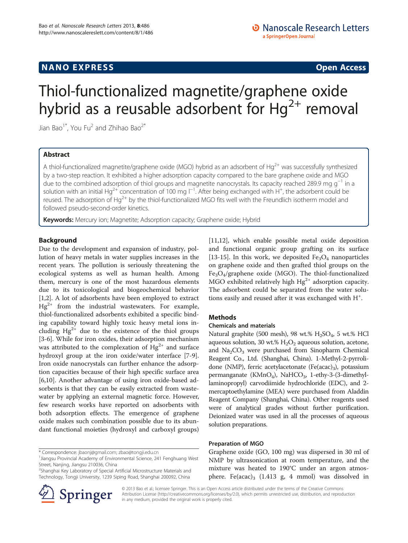## **NANO EXPRESS** Open Access **CONTROL**

# Thiol-functionalized magnetite/graphene oxide hybrid as a reusable adsorbent for  $Hg^{2+}$  removal

Jian Bao<sup>1\*</sup>, You Fu<sup>2</sup> and Zhihao Bao<sup>2\*</sup>

## Abstract

A thiol-functionalized magnetite/graphene oxide (MGO) hybrid as an adsorbent of Hg<sup>2+</sup> was successfully synthesized by a two-step reaction. It exhibited a higher adsorption capacity compared to the bare graphene oxide and MGO due to the combined adsorption of thiol groups and magnetite nanocrystals. Its capacity reached 289.9 mg  $q^{-1}$  in a solution with an initial Hg<sup>2+</sup> concentration of 100 mg l<sup>−1</sup>. After being exchanged with H<sup>+</sup>, the adsorbent could be reused. The adsorption of Hg<sup>2+</sup> by the thiol-functionalized MGO fits well with the Freundlich isotherm model and followed pseudo-second-order kinetics.

Keywords: Mercury ion; Magnetite; Adsorption capacity; Graphene oxide; Hybrid

## Background

Due to the development and expansion of industry, pollution of heavy metals in water supplies increases in the recent years. The pollution is seriously threatening the ecological systems as well as human health. Among them, mercury is one of the most hazardous elements due to its toxicological and biogeochemical behavior [[1,2\]](#page-4-0). A lot of adsorbents have been employed to extract  $Hg^{2+}$  from the industrial wastewaters. For example, thiol-functionalized adsorbents exhibited a specific binding capability toward highly toxic heavy metal ions including  $Hg^{2+}$  due to the existence of the thiol groups [[3-6](#page-4-0)]. While for iron oxides, their adsorption mechanism was attributed to the complexation of  $Hg^{2+}$  and surface hydroxyl group at the iron oxide/water interface [[7-9](#page-4-0)]. Iron oxide nanocrystals can further enhance the adsorption capacities because of their high specific surface area [[6,10\]](#page-4-0). Another advantage of using iron oxide-based adsorbents is that they can be easily extracted from wastewater by applying an external magnetic force. However, few research works have reported on adsorbents with both adsorption effects. The emergence of graphene oxide makes such combination possible due to its abundant functional moieties (hydroxyl and carboxyl groups)

\* Correspondence: [jbaonj@gmail.com;](mailto:jbaonj@gmail.com) [zbao@tongji.edu.cn](mailto:zbao@tongji.edu.cn) <sup>1</sup>

<sup>2</sup> Shanghai Key Laboratory of Special Artificial Microstructure Materials and Technology, Tongji University, 1239 Siping Road, Shanghai 200092, China



[[11,12\]](#page-4-0), which enable possible metal oxide deposition and functional organic group grafting on its surface [[13-15](#page-4-0)]. In this work, we deposited  $Fe<sub>3</sub>O<sub>4</sub>$  nanoparticles on graphene oxide and then grafted thiol groups on the Fe3O4/graphene oxide (MGO). The thiol-functionalized MGO exhibited relatively high  $Hg^{2+}$  adsorption capacity. The adsorbent could be separated from the water solutions easily and reused after it was exchanged with H<sup>+</sup>.

## Methods

### Chemicals and materials

Natural graphite (500 mesh), 98 wt.%  $H<sub>2</sub>SO<sub>4</sub>$ , 5 wt.% HCl aqueous solution, 30 wt.%  $H_2O_2$  aqueous solution, acetone, and  $Na<sub>2</sub>CO<sub>3</sub>$  were purchased from Sinopharm Chemical Reagent Co., Ltd. (Shanghai, China). 1-Methyl-2-pyrrolidone (NMP), ferric acetylacetonate (Fe(acac)<sub>3</sub>), potassium permanganate (KMnO<sub>4</sub>), NaHCO<sub>3</sub>, 1-ethy-3-(3-dimethyllaminopropyl) carvodiimide hydrochloride (EDC), and 2 mercaptoethylamine (MEA) were purchased from Aladdin Reagent Company (Shanghai, China). Other reagents used were of analytical grades without further purification. Deionized water was used in all the processes of aqueous solution preparations.

#### Preparation of MGO

Graphene oxide (GO, 100 mg) was dispersed in 30 ml of NMP by ultrasonication at room temperature, and the mixture was heated to 190°C under an argon atmosphere. Fe(acac)<sub>3</sub> (1.413 g, 4 mmol) was dissolved in

© 2013 Bao et al.; licensee Springer. This is an Open Access article distributed under the terms of the Creative Commons Attribution License [\(http://creativecommons.org/licenses/by/2.0\)](http://creativecommons.org/licenses/by/2.0), which permits unrestricted use, distribution, and reproduction in any medium, provided the original work is properly cited.

<sup>&</sup>lt;sup>1</sup>Jiangsu Provincial Academy of Environmental Science, 241 Fenghuang West Street, Nanjing, Jiangsu 210036, China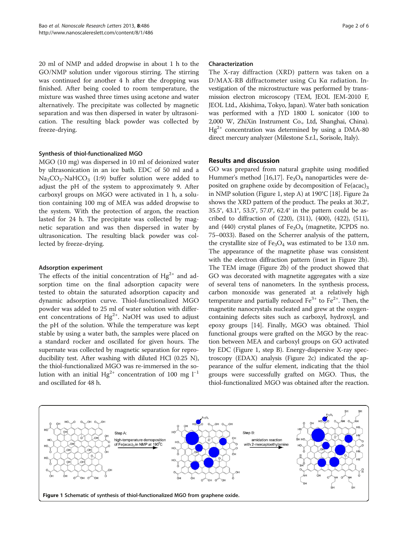20 ml of NMP and added dropwise in about 1 h to the GO/NMP solution under vigorous stirring. The stirring was continued for another 4 h after the dropping was finished. After being cooled to room temperature, the mixture was washed three times using acetone and water alternatively. The precipitate was collected by magnetic separation and was then dispersed in water by ultrasonication. The resulting black powder was collected by freeze-drying.

#### Synthesis of thiol-functionalized MGO

MGO (10 mg) was dispersed in 10 ml of deionized water by ultrasonication in an ice bath. EDC of 50 ml and a  $Na<sub>2</sub>CO<sub>3</sub>$ -NaHCO<sub>3</sub> (1:9) buffer solution were added to adjust the pH of the system to approximately 9. After carboxyl groups on MGO were activated in 1 h, a solution containing 100 mg of MEA was added dropwise to the system. With the protection of argon, the reaction lasted for 24 h. The precipitate was collected by magnetic separation and was then dispersed in water by ultrasonication. The resulting black powder was collected by freeze-drying.

#### Adsorption experiment

The effects of the initial concentration of  $Hg^{2+}$  and adsorption time on the final adsorption capacity were tested to obtain the saturated adsorption capacity and dynamic adsorption curve. Thiol-functionalized MGO powder was added to 25 ml of water solution with different concentrations of  $Hg^{2+}$ . NaOH was used to adjust the pH of the solution. While the temperature was kept stable by using a water bath, the samples were placed on a standard rocker and oscillated for given hours. The supernate was collected by magnetic separation for reproducibility test. After washing with diluted HCl (0.25 N), the thiol-functionalized MGO was re-immersed in the solution with an initial Hg<sup>2+</sup> concentration of 100 mg  $l^{-1}$ and oscillated for 48 h.

#### Characterization

The X-ray diffraction (XRD) pattern was taken on a D/MAX-RB diffractometer using Cu Kα radiation. Investigation of the microstructure was performed by transmission electron microscopy (TEM, JEOL JEM-2010 F, JEOL Ltd., Akishima, Tokyo, Japan). Water bath sonication was performed with a JYD 1800 L sonicator (100 to 2,000 W, ZhiXin Instrument Co., Ltd, Shanghai, China).  $Hg^{2+}$  concentration was determined by using a DMA-80 direct mercury analyzer (Milestone S.r.l., Sorisole, Italy).

#### Results and discussion

GO was prepared from natural graphite using modified Hummer's method [\[16,17](#page-4-0)]. Fe<sub>3</sub>O<sub>4</sub> nanoparticles were deposited on graphene oxide by decomposition of  $Fe (acac)<sub>3</sub>$ in NMP solution (Figure 1, step A) at 190°C [\[18](#page-4-0)]. Figure [2](#page-2-0)a shows the XRD pattern of the product. The peaks at 30.2°, 35.5°, 43.1°, 53.5°, 57.0°, 62.4° in the pattern could be ascribed to diffraction of (220), (311), (400), (422), (511), and (440) crystal planes of  $Fe<sub>3</sub>O<sub>4</sub>$  (magnetite, JCPDS no. 75–0033). Based on the Scherrer analysis of the pattern, the crystallite size of  $Fe<sub>3</sub>O<sub>4</sub>$  was estimated to be 13.0 nm. The appearance of the magnetite phase was consistent with the electron diffraction pattern (inset in Figure [2](#page-2-0)b). The TEM image (Figure [2](#page-2-0)b) of the product showed that GO was decorated with magnetite aggregates with a size of several tens of nanometers. In the synthesis process, carbon monoxide was generated at a relatively high temperature and partially reduced  $Fe^{3+}$  to  $Fe^{2+}$ . Then, the magnetite nanocrystals nucleated and grew at the oxygencontaining defects sites such as carboxyl, hydroxyl, and epoxy groups [\[14\]](#page-4-0). Finally, MGO was obtained. Thiol functional groups were grafted on the MGO by the reaction between MEA and carboxyl groups on GO activated by EDC (Figure 1, step B). Energy-dispersive X-ray spectroscopy (EDAX) analysis (Figure [2](#page-2-0)c) indicated the appearance of the sulfur element, indicating that the thiol groups were successfully grafted on MGO. Thus, the thiol-functionalized MGO was obtained after the reaction.

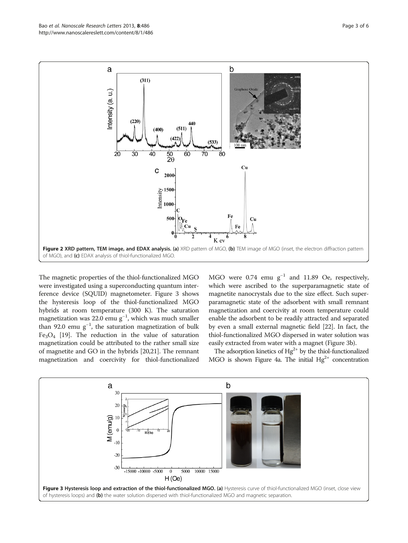<span id="page-2-0"></span>

The magnetic properties of the thiol-functionalized MGO were investigated using a superconducting quantum interference device (SQUID) magnetometer. Figure 3 shows the hysteresis loop of the thiol-functionalized MGO hybrids at room temperature (300 K). The saturation magnetization was 22.0 emu  $g^{-1}$ , which was much smaller than 92.0 emu  $g^{-1}$ , the saturation magnetization of bulk  $Fe<sub>3</sub>O<sub>4</sub>$  [\[19\]](#page-4-0). The reduction in the value of saturation magnetization could be attributed to the rather small size of magnetite and GO in the hybrids [\[20,21](#page-4-0)]. The remnant magnetization and coercivity for thiol-functionalized

MGO were  $0.74$  emu  $g^{-1}$  and 11.89 Oe, respectively, which were ascribed to the superparamagnetic state of magnetite nanocrystals due to the size effect. Such superparamagnetic state of the adsorbent with small remnant magnetization and coercivity at room temperature could enable the adsorbent to be readily attracted and separated by even a small external magnetic field [\[22\]](#page-5-0). In fact, the thiol-functionalized MGO dispersed in water solution was easily extracted from water with a magnet (Figure 3b).

The adsorption kinetics of  $Hg^{2+}$  by the thiol-functionalized MGO is shown Figure [4a](#page-3-0). The initial  $Hg^{2+}$  concentration

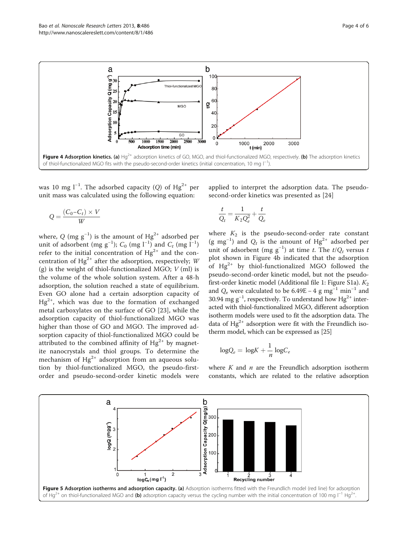<span id="page-3-0"></span>

was 10 mg l<sup>-1</sup>. The adsorbed capacity (Q) of  $Hg^{2+}$  per unit mass was calculated using the following equation:

$$
Q = \frac{(C_0 - C_t) \times V}{W}
$$

where, Q (mg  $\rm g^{-1})$  is the amount of  $\rm H\rm g^{2+}$  adsorbed per unit of adsorbent (mg g<sup>-1</sup>);  $C_0$  (mg l<sup>-1</sup>) and  $C_t$  (mg l<sup>-1</sup>) refer to the initial concentration of  $Hg^{2+}$  and the concentration of Hg<sup>2+</sup> after the adsorption, respectively; W (g) is the weight of thiol-functionalized MGO;  $V$  (ml) is the volume of the whole solution system. After a 48-h adsorption, the solution reached a state of equilibrium. Even GO alone had a certain adsorption capacity of  $Hg^{2+}$ , which was due to the formation of exchanged metal carboxylates on the surface of GO [\[23](#page-5-0)], while the adsorption capacity of thiol-functionalized MGO was higher than those of GO and MGO. The improved adsorption capacity of thiol-functionalized MGO could be attributed to the combined affinity of  $Hg^{2+}$  by magnetite nanocrystals and thiol groups. To determine the mechanism of  $Hg^{2+}$  adsorption from an aqueous solution by thiol-functionalized MGO, the pseudo-firstorder and pseudo-second-order kinetic models were applied to interpret the adsorption data. The pseudosecond-order kinetics was presented as [[24](#page-5-0)]

$$
\frac{t}{Q_t} = \frac{1}{K_2 Q_e^2} + \frac{t}{Q_e}
$$

where  $K_2$  is the pseudo-second-order rate constant (g mg<sup>-1</sup>) and  $Q_t$  is the amount of Hg<sup>2+</sup> adsorbed per unit of adsorbent (mg  $g^{-1}$ ) at time t. The  $t/Q_t$  versus t plot shown in Figure 4b indicated that the adsorption of  $Hg^{2+}$  by thiol-functionalized MGO followed the pseudo-second-order kinetic model, but not the pseudo-first-order kinetic model (Additional file [1](#page-4-0): Figure S1a).  $K_2$ and  $Q_e$  were calculated to be 6.49E – 4 g mg<sup>-1</sup> min<sup>-1</sup> and 30.94 mg g<sup>-1</sup>, respectively. To understand how Hg<sup>2+</sup> interacted with thiol-functionalized MGO, different adsorption isotherm models were used to fit the adsorption data. The data of  $Hg^{2+}$  adsorption were fit with the Freundlich isotherm model, which can be expressed as [\[25\]](#page-5-0)

$$
\log Q_e = \log K + \frac{1}{n} \log C_e
$$

where  $K$  and  $n$  are the Freundlich adsorption isotherm constants, which are related to the relative adsorption

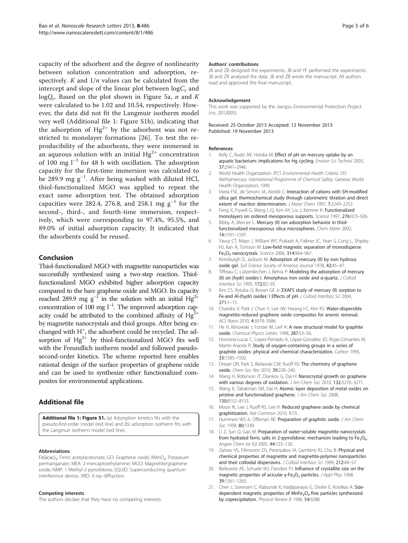<span id="page-4-0"></span>capacity of the adsorbent and the degree of nonlinearity between solution concentration and adsorption, respectively.  $K$  and  $1/n$  values can be calculated from the intercept and slope of the linear plot between  $logC_e$  and  $logQ_e$ . Based on the plot shown in Figure [5a](#page-3-0), *n* and *K* were calculated to be 1.02 and 10.54, respectively. However, the data did not fit the Langmuir isotherm model very well (Additional file 1: Figure S1b), indicating that the adsorption of  $Hg^{2+}$  by the adsorbent was not restricted to monolayer formations [[26](#page-5-0)]. To test the reproducibility of the adsorbents, they were immersed in an aqueous solution with an initial  $Hg^{2+}$  concentration of 100 mg l−<sup>1</sup> for 48 h with oscillation. The adsorption capacity for the first-time immersion was calculated to be 289.9 mg g<sup>-1</sup>. After being washed with diluted HCl, thiol-functionalized MGO was applied to repeat the exact same adsorption test. The obtained adsorption capacities were 282.4, 276.8, and 258.1 mg  $g^{-1}$  for the second-, third-, and fourth-time immersion, respectively, which were corresponding to 97.4%, 95.5%, and 89.0% of initial adsorption capacity. It indicated that the adsorbents could be reused.

## Conclusion

Thiol-functionalized MGO with magnetite nanoparticles was successfully synthesized using a two-step reaction. Thiolfunctionalized MGO exhibited higher adsorption capacity compared to the bare graphene oxide and MGO. Its capacity reached 289.9 mg  $g^{-1}$  in the solution with an initial H $g^{2+}$ concentration of 100 mg l<sup>-1</sup>. The improved adsorption capacity could be attributed to the combined affinity of  $Hg^{2+}$ by magnetite nanocrystals and thiol groups. After being exchanged with H<sup>+</sup>, the adsorbent could be recycled. The adsorption of  $Hg^{2+}$  by thiol-functionalized MGO fits well with the Freundlich isotherm model and followed pseudosecond-order kinetics. The scheme reported here enables rational design of the surface properties of graphene oxide and can be used to synthesize other functionalized composites for environmental applications.

## Additional file

[Additional file 1: Figure S1.](http://www.biomedcentral.com/content/supplementary/1556-276X-8-486-S1.doc) (a) Adsorption kinetics fits with the pseudo-first-order model (red line) and (b) adsorption isotherm fits with the Langmuir isotherm model (red line).

#### Abbreviations

Fe(acac)<sub>3</sub>: Ferric acetylacetonate; GO: Graphene oxide; KMnO<sub>4</sub>: Potassium permanganate; MEA: 2-mercaptoethylamine; MGO: Magnetite/graphene oxide; NMP: 1-Methyl-2-pyrrolidone; SQUID: Superconducting quantum interference device; XRD: X-ray diffraction.

#### Competing interests

The authors declare that they have no competing interests.

#### Authors' contributions

JB and ZB designed the experiments. JB and YF performed the experiments. JB and ZB analyzed the data. JB and ZB wrote the manuscript. All authors read and approved the final manuscript.

#### Acknowledgement

This work was supported by the Jiangsu Environmental Protection Project (no. 2012005).

Received: 25 October 2013 Accepted: 12 November 2013 Published: 19 November 2013

#### References

- 1. Kelly C, Rudd JW, Holoka M: Effect of pH on mercury uptake by an aquatic bacterium: implications for Hg cycling. Environ Sci Technol 2003, 37:2941–2946.
- 2. World Health Organization: IPCS Environmental Health Criteria 101: Methylmercury. International Programme of Chemical Safety. Geneva: World Health Organization; 1990.
- 3. Vieira FSE, de Simoni JA, Airoldi C: Interaction of cations with SH-modified silica gel: thermochemical study through calorimetric titration and direct extent of reaction determination. J Mater Chem 1997, 7:2249-2252.
- 4. Feng X, Fryxell G, Wang L-Q, Kim AY, Liu J, Kemner K: Functionalized monolayers on ordered mesoporous supports. Science 1997, 276:923–926.
- 5. Bibby A, Mercier L: Mercury (II) ion adsorption behavior in thiolfunctionalized mesoporous silica microspheres. Chem Mater 2002, 14:1591–1597.
- 6. Yavuz CT, Mayo J, William WY, Prakash A, Falkner JC, Yean S, Cong L, Shipley HJ, Kan A, Tomson M: Low-field magnetic separation of monodisperse Fe3O4 nanocrystals. Science 2006, 314:964–967.
- 7. Kinniburgh D, Jackson M: Adsorption of mercury (II) by iron hydrous oxide gel. Soil Science Society of America Journal 1978, 42:45-47.
- 8. Tiffreau C, Lützenkirchen J, Behra P: Modeling the adsorption of mercury (II) on (hydr) oxides I. Amorphous iron oxide and α-quartz. J Colloid Interface Sci 1995, 172:82–93.
- 9. Kim CS, Rytuba JJ, Brown GE Jr: EXAFS study of mercury (II) sorption to Fe-and Al-(hydr) oxides: I Effects of pH. J Colloid Interface Sci 2004, 271:1–15.
- 10. Chandra V, Park J, Chun Y, Lee JW, Hwang I-C, Kim KS: Water-dispersible magnetite-reduced graphene oxide composites for arsenic removal. ACS Nano 2010, 4:3979–3986.
- 11. He H, Klinowski J, Forster M, Lerf A: A new structural model for graphite oxide. Chemical Physics Letters 1998, 287:53–56.
- 12. Hontoria-Lucas C, Lopez-Peinado A, López-González JD, Rojas-Cervantes M, Martin-Aranda R: Study of oxygen-containing groups in a series of graphite oxides: physical and chemical characterization. Carbon 1995, 33:1585–1592.
- 13. Dreyer DR, Park S, Bielawski CW, Ruoff RS: The chemistry of graphene oxide. Chem Soc Rev 2010, 39:228–240.
- 14. Wang H, Robinson JT, Diankov G, Dai H: Nanocrystal growth on graphene with various degrees of oxidation. J Am Chem Soc 2010, 132:3270-3271.
- 15. Wang X, Tabakman SM, Dai H: Atomic layer deposition of metal oxides on pristine and functionalized graphene. J Am Chem Soc 2008, 130:8152–8153.
- 16. Moon IK, Lee J, Ruoff RS, Lee H: Reduced graphene oxide by chemical graphitization. Nat Commun 2010, 1:73.
- 17. Hummers WS Jr, Offeman RE: Preparation of graphitic oxide. J Am Chem Soc 1958, 80:1339.
- 18. Li Z, Sun Q, Gao M: Preparation of water-soluble magnetite nanocrystals from hydrated ferric salts in 2-pyrrolidone: mechanism leading to  $Fe<sub>3</sub>O<sub>4</sub>$ . Angew Chem Int Ed 2005, 44:123–126.
- 19. Zaitsev VS, Filimonov DS, Presnyakov IA, Gambino RJ, Chu B: Physical and chemical properties of magnetite and magnetite-polymer nanoparticles and their colloidal dispersions. J Colloid Interface Sci 1999, 212:49-57
- 20. Berkowitz AE, Schuele WJ, Flanders PJ: Influence of crystallite size on the magnetic properties of acicular γ-Fe<sub>2</sub>O<sub>3</sub> particles. *J Appl Phys* 1968, 39:1261–1263.
- 21. Chen J, Sorensen C, Klabunde K, Hadjipanayis G, Devlin E, Kostikas A: Sizedependent magnetic properties of  $MnFe<sub>2</sub>O<sub>4</sub>$  fine particles synthesized by coprecipitation. Physical Review B 1996, 54:9288.